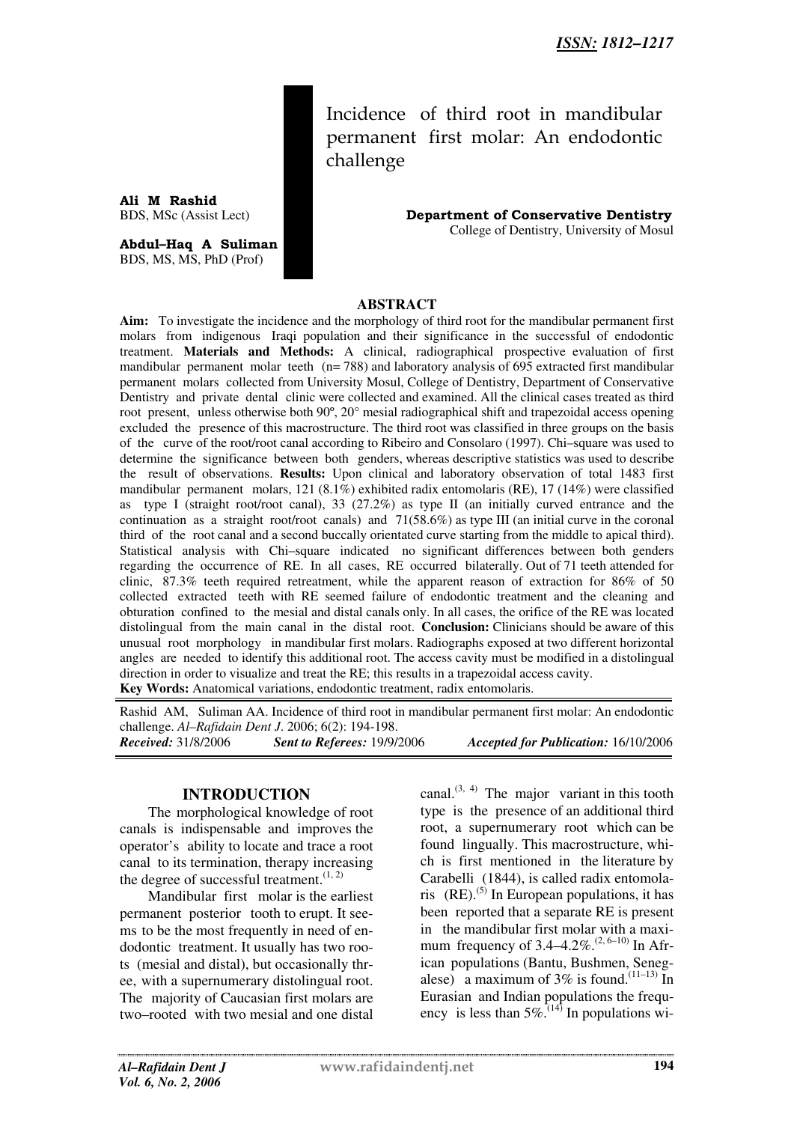Incidence of third root in mandibular permanent first molar: An endodontic challenge

**Ali M Rashid**<br>BDS, MSc (Assist Lect)

**Abdul–Haq A Suliman** BDS, MS, MS, PhD (Prof)

**Department of Conservative Dentistry** College of Dentistry, University of Mosul

### **ABSTRACT**

**Aim:** To investigate the incidence and the morphology of third root for the mandibular permanent first molars from indigenous Iraqi population and their significance in the successful of endodontic treatment. **Materials and Methods:** A clinical, radiographical prospective evaluation of first mandibular permanent molar teeth  $(n= 788)$  and laboratory analysis of 695 extracted first mandibular permanent molars collected from University Mosul, College of Dentistry, Department of Conservative Dentistry and private dental clinic were collected and examined. All the clinical cases treated as third root present, unless otherwise both 90º, 20° mesial radiographical shift and trapezoidal access opening excluded the presence of this macrostructure. The third root was classified in three groups on the basis of the curve of the root/root canal according to Ribeiro and Consolaro (1997). Chi–square was used to determine the significance between both genders, whereas descriptive statistics was used to describe the result of observations. **Results:** Upon clinical and laboratory observation of total 1483 first mandibular permanent molars, 121 (8.1%) exhibited radix entomolaris (RE), 17 (14%) were classified as type I (straight root/root canal), 33 (27.2%) as type II (an initially curved entrance and the continuation as a straight root/root canals) and  $71(58.6%)$  as type III (an initial curve in the coronal third of the root canal and a second buccally orientated curve starting from the middle to apical third). Statistical analysis with Chi–square indicated no significant differences between both genders regarding the occurrence of RE. In all cases, RE occurred bilaterally. Out of 71 teeth attended for clinic, 87.3% teeth required retreatment, while the apparent reason of extraction for 86% of 50 collected extracted teeth with RE seemed failure of endodontic treatment and the cleaning and obturation confined to the mesial and distal canals only. In all cases, the orifice of the RE was located distolingual from the main canal in the distal root. **Conclusion:** Clinicians should be aware of this unusual root morphology in mandibular first molars. Radiographs exposed at two different horizontal angles are needed to identify this additional root. The access cavity must be modified in a distolingual direction in order to visualize and treat the RE; this results in a trapezoidal access cavity. **Key Words:** Anatomical variations, endodontic treatment, radix entomolaris.

Rashid AM, Suliman AA. Incidence of third root in mandibular permanent first molar: An endodontic challenge. *Al–Rafidain Dent J*. 2006; 6(2): 194-198. *Received:* 31/8/2006 *Sent to Referees:* 19/9/2006 *Accepted for Publication:* 16/10/2006

#### **INTRODUCTION**

The morphological knowledge of root canals is indispensable and improves the operator's ability to locate and trace a root canal to its termination, therapy increasing the degree of successful treatment. $(1, 2)$ 

Mandibular first molar is the earliest permanent posterior tooth to erupt. It seems to be the most frequently in need of endodontic treatment. It usually has two roots (mesial and distal), but occasionally three, with a supernumerary distolingual root. The majority of Caucasian first molars are two–rooted with two mesial and one distal

canal. $^{(3, 4)}$  The major variant in this tooth type is the presence of an additional third root, a supernumerary root which can be found lingually. This macrostructure, which is first mentioned in the literature by Carabelli (1844), is called radix entomolaris  $(RE)$ .<sup>(5)</sup> In European populations, it has been reported that a separate RE is present in the mandibular first molar with a maximum frequency of  $3.4-4.2\%$ .<sup>(2, 6–10)</sup> In African populations (Bantu, Bushmen, Senegalese) a maximum of 3% is found.<sup>(11-13)</sup> In Eurasian and Indian populations the frequency is less than  $5\%$ .<sup>(14)</sup> In populations wi-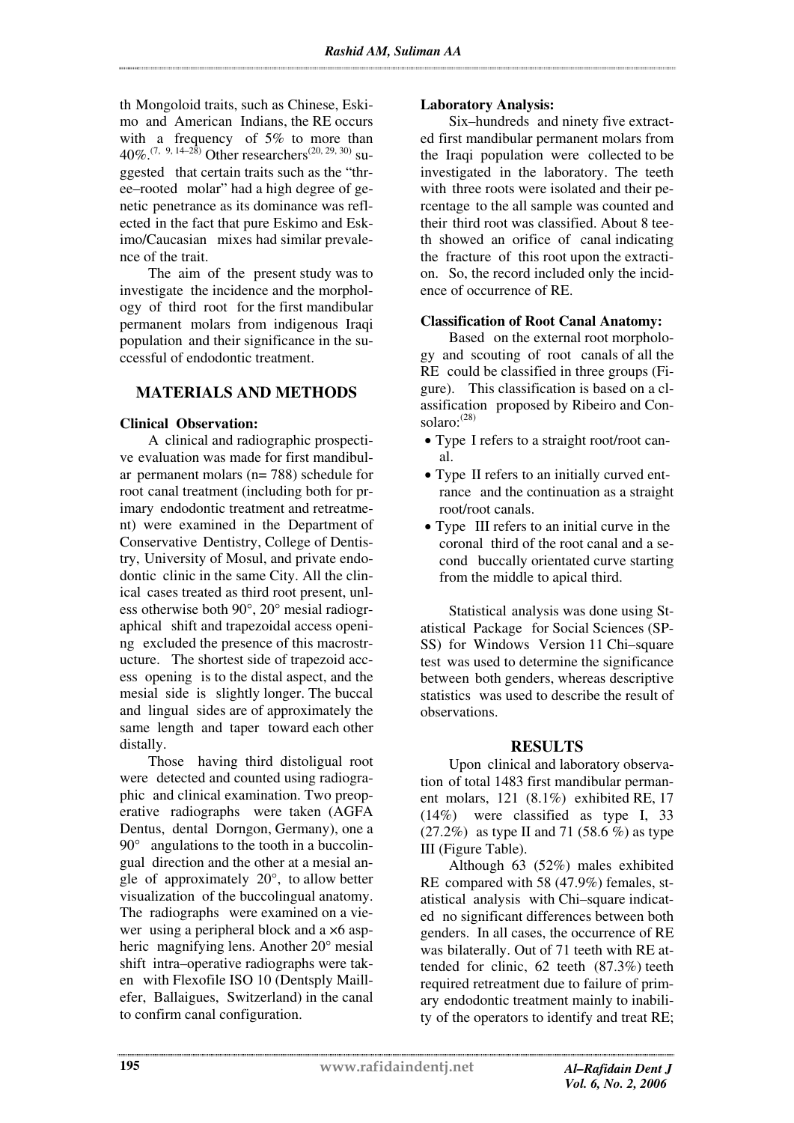th Mongoloid traits, such as Chinese, Eskimo and American Indians, the RE occurs with a frequency of 5% to more than 40%.<sup> $(7, 9, 14-28)$ </sup> Other researchers<sup> $(20, 29, 30)$ </sup> suggested that certain traits such as the "three–rooted molar" had a high degree of genetic penetrance as its dominance was reflected in the fact that pure Eskimo and Eskimo/Caucasian mixes had similar prevalence of the trait.

The aim of the present study was to investigate the incidence and the morphology of third root for the first mandibular permanent molars from indigenous Iraqi population and their significance in the successful of endodontic treatment.

# **MATERIALS AND METHODS**

#### **Clinical Observation:**

A clinical and radiographic prospective evaluation was made for first mandibular permanent molars (n= 788) schedule for root canal treatment (including both for primary endodontic treatment and retreatment) were examined in the Department of Conservative Dentistry, College of Dentistry, University of Mosul, and private endodontic clinic in the same City. All the clinical cases treated as third root present, unless otherwise both 90°, 20° mesial radiographical shift and trapezoidal access opening excluded the presence of this macrostructure. The shortest side of trapezoid access opening is to the distal aspect, and the mesial side is slightly longer. The buccal and lingual sides are of approximately the same length and taper toward each other distally.

Those having third distoligual root were detected and counted using radiographic and clinical examination. Two preoperative radiographs were taken (AGFA Dentus, dental Dorngon, Germany), one a  $90^\circ$  angulations to the tooth in a buccolingual direction and the other at a mesial angle of approximately 20°, to allow better visualization of the buccolingual anatomy. The radiographs were examined on a viewer using a peripheral block and a ×6 aspheric magnifying lens. Another 20° mesial shift intra–operative radiographs were taken with Flexofile ISO 10 (Dentsply Maillefer, Ballaigues, Switzerland) in the canal to confirm canal configuration.

## **Laboratory Analysis:**

Six–hundreds and ninety five extracted first mandibular permanent molars from the Iraqi population were collected to be investigated in the laboratory. The teeth with three roots were isolated and their percentage to the all sample was counted and their third root was classified. About 8 teeth showed an orifice of canal indicating the fracture of this root upon the extraction. So, the record included only the incidence of occurrence of RE.

## **Classification of Root Canal Anatomy:**

Based on the external root morphology and scouting of root canals of all the RE could be classified in three groups (Figure). This classification is based on a classification proposed by Ribeiro and Consolaro: $^{(28)}$ 

- Type I refers to a straight root/root canal.
- Type II refers to an initially curved entrance and the continuation as a straight root/root canals.
- Type III refers to an initial curve in the coronal third of the root canal and a second buccally orientated curve starting from the middle to apical third.

Statistical analysis was done using Statistical Package for Social Sciences (SP-SS) for Windows Version 11 Chi–square test was used to determine the significance between both genders, whereas descriptive statistics was used to describe the result of observations.

# **RESULTS**

Upon clinical and laboratory observation of total 1483 first mandibular permanent molars, 121 (8.1%) exhibited RE, 17 (14%) were classified as type I, 33  $(27.2%)$  as type II and 71 (58.6 %) as type III (Figure Table).

Although 63 (52%) males exhibited RE compared with 58 (47.9%) females, statistical analysis with Chi–square indicated no significant differences between both genders. In all cases, the occurrence of RE was bilaterally. Out of 71 teeth with RE attended for clinic, 62 teeth (87.3%) teeth required retreatment due to failure of primary endodontic treatment mainly to inability of the operators to identify and treat RE;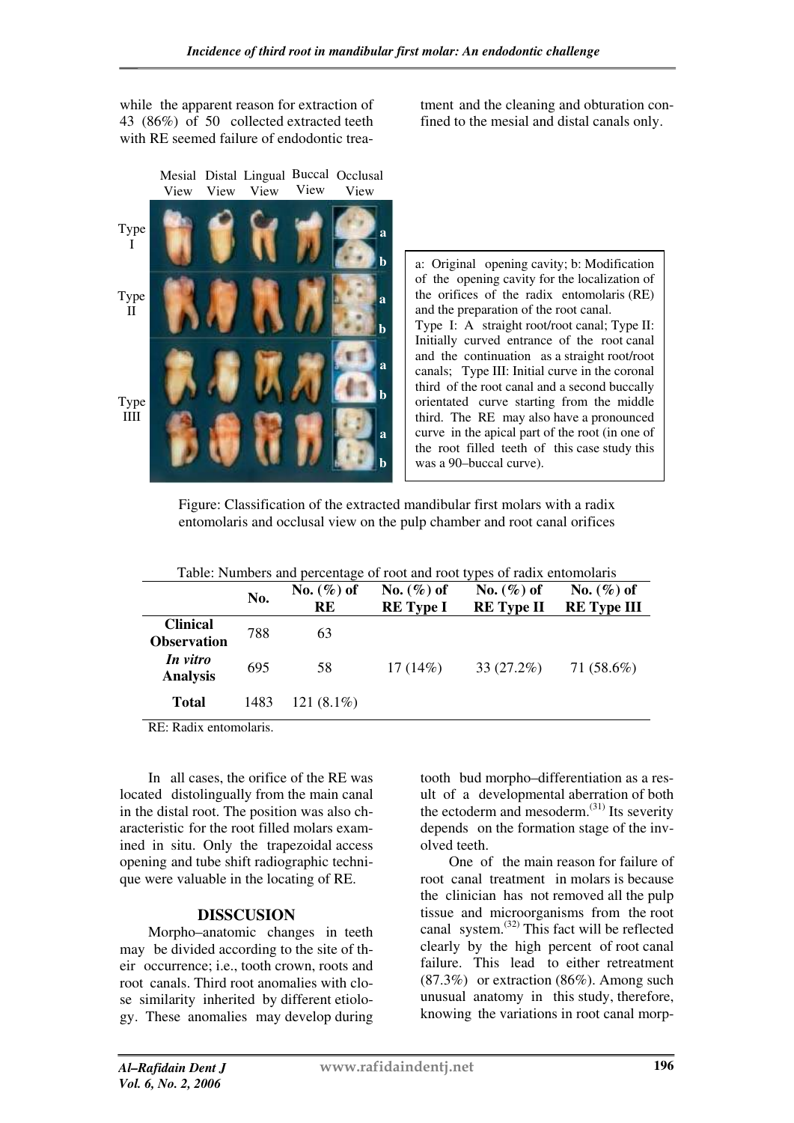while the apparent reason for extraction of 43 (86%) of 50 collected extracted teeth with RE seemed failure of endodontic trea-

Mesial Distal Lingual Buccal Occlusal View View View View View Type I Type II Type IIII **a b a b a b a b** tment and the cleaning and obturation confined to the mesial and distal canals only.

a: Original opening cavity; b: Modification of the opening cavity for the localization of the orifices of the radix entomolaris (RE) and the preparation of the root canal. Type I: A straight root/root canal; Type II: Initially curved entrance of the root canal and the continuation as a straight root/root canals; Type III: Initial curve in the coronal third of the root canal and a second buccally orientated curve starting from the middle third. The RE may also have a pronounced curve in the apical part of the root (in one of the root filled teeth of this case study this was a 90–buccal curve).

Figure: Classification of the extracted mandibular first molars with a radix entomolaris and occlusal view on the pulp chamber and root canal orifices

| Table: Numbers and percentage of root and root types of radix entomolaris |      |                     |                                   |                                    |                                     |
|---------------------------------------------------------------------------|------|---------------------|-----------------------------------|------------------------------------|-------------------------------------|
|                                                                           | No.  | No. $(\%)$ of<br>RE | No. $(\%)$ of<br><b>RE</b> Type I | No. $(\%)$ of<br><b>RE</b> Type II | No. $(\%)$ of<br><b>RE</b> Type III |
| <b>Clinical</b><br><b>Observation</b>                                     | 788  | 63                  |                                   |                                    |                                     |
| In vitro<br><b>Analysis</b>                                               | 695  | 58                  | 17(14%)                           | $33(27.2\%)$                       | 71 $(58.6%)$                        |
| <b>Total</b>                                                              | 1483 | 121 $(8.1\%)$       |                                   |                                    |                                     |

RE: Radix entomolaris.

In all cases, the orifice of the RE was located distolingually from the main canal in the distal root. The position was also characteristic for the root filled molars examined in situ. Only the trapezoidal access opening and tube shift radiographic technique were valuable in the locating of RE.

#### **DISSCUSION**

Morpho–anatomic changes in teeth may be divided according to the site of their occurrence; i.e., tooth crown, roots and root canals. Third root anomalies with close similarity inherited by different etiology. These anomalies may develop during

tooth bud morpho–differentiation as a result of a developmental aberration of both the ectoderm and mesoderm. $^{(31)}$  Its severity depends on the formation stage of the involved teeth.

One of the main reason for failure of root canal treatment in molars is because the clinician has not removed all the pulp tissue and microorganisms from the root canal system.(32) This fact will be reflected clearly by the high percent of root canal failure. This lead to either retreatment (87.3%) or extraction (86%). Among such unusual anatomy in this study, therefore, knowing the variations in root canal morp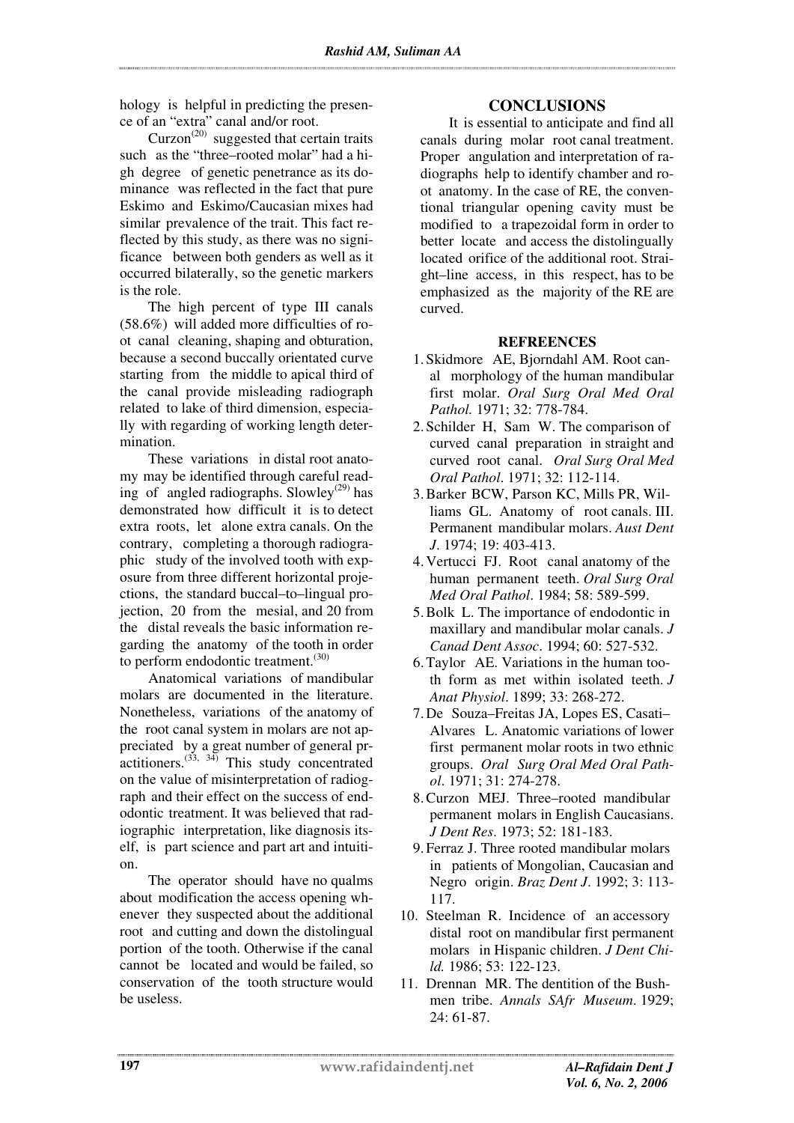hology is helpful in predicting the presence of an "extra" canal and/or root.

 $Curzon<sup>(20)</sup> suggested that certain traits$ such as the "three–rooted molar" had a high degree of genetic penetrance as its dominance was reflected in the fact that pure Eskimo and Eskimo/Caucasian mixes had similar prevalence of the trait. This fact reflected by this study, as there was no significance between both genders as well as it occurred bilaterally, so the genetic markers is the role.

The high percent of type III canals (58.6%) will added more difficulties of root canal cleaning, shaping and obturation, because a second buccally orientated curve starting from the middle to apical third of the canal provide misleading radiograph related to lake of third dimension, especially with regarding of working length determination.

These variations in distal root anatomy may be identified through careful reading of angled radiographs. Slowley<sup>(29)</sup> has demonstrated how difficult it is to detect extra roots, let alone extra canals. On the contrary, completing a thorough radiographic study of the involved tooth with exposure from three different horizontal projections, the standard buccal–to–lingual projection, 20 from the mesial, and 20 from the distal reveals the basic information regarding the anatomy of the tooth in order to perform endodontic treatment.<sup>(30)</sup>

Anatomical variations of mandibular molars are documented in the literature. Nonetheless, variations of the anatomy of the root canal system in molars are not appreciated by a great number of general pr- $\arctan(33, 34)$  This study concentrated on the value of misinterpretation of radiograph and their effect on the success of endodontic treatment. It was believed that radiographic interpretation, like diagnosis itself, is part science and part art and intuition.

The operator should have no qualms about modification the access opening whenever they suspected about the additional root and cutting and down the distolingual portion of the tooth. Otherwise if the canal cannot be located and would be failed, so conservation of the tooth structure would be useless.

# **CONCLUSIONS**

It is essential to anticipate and find all canals during molar root canal treatment. Proper angulation and interpretation of radiographs help to identify chamber and root anatomy. In the case of RE, the conventional triangular opening cavity must be modified to a trapezoidal form in order to better locate and access the distolingually located orifice of the additional root. Straight–line access, in this respect, has to be emphasized as the majority of the RE are curved.

## **REFREENCES**

- 1. Skidmore AE, Bjorndahl AM. Root canal morphology of the human mandibular first molar. *Oral Surg Oral Med Oral Pathol.* 1971; 32: 778-784.
- 2. Schilder H, Sam W. The comparison of curved canal preparation in straight and curved root canal. *Oral Surg Oral Med Oral Pathol*. 1971; 32: 112-114.
- 3. Barker BCW, Parson KC, Mills PR, Williams GL. Anatomy of root canals. III. Permanent mandibular molars. *Aust Dent J*. 1974; 19: 403-413.
- 4. Vertucci FJ. Root canal anatomy of the human permanent teeth. *Oral Surg Oral Med Oral Pathol*. 1984; 58: 589-599.
- 5. Bolk L. The importance of endodontic in maxillary and mandibular molar canals. *J Canad Dent Assoc*. 1994; 60: 527-532.
- 6. Taylor AE. Variations in the human tooth form as met within isolated teeth. *J Anat Physiol*. 1899; 33: 268-272.
- 7. De Souza–Freitas JA, Lopes ES, Casati– Alvares L. Anatomic variations of lower first permanent molar roots in two ethnic groups. *Oral Surg Oral Med Oral Pathol*. 1971; 31: 274-278.
- 8. Curzon MEJ. Three–rooted mandibular permanent molars in English Caucasians. *J Dent Res*. 1973; 52: 181-183.
- 9. Ferraz J. Three rooted mandibular molars in patients of Mongolian, Caucasian and Negro origin. *Braz Dent J*. 1992; 3: 113- 117.
- 10. Steelman R. Incidence of an accessory distal root on mandibular first permanent molars in Hispanic children. *J Dent Child.* 1986; 53: 122-123.
- 11. Drennan MR. The dentition of the Bushmen tribe. *Annals SAfr Museum*. 1929; 24: 61-87.